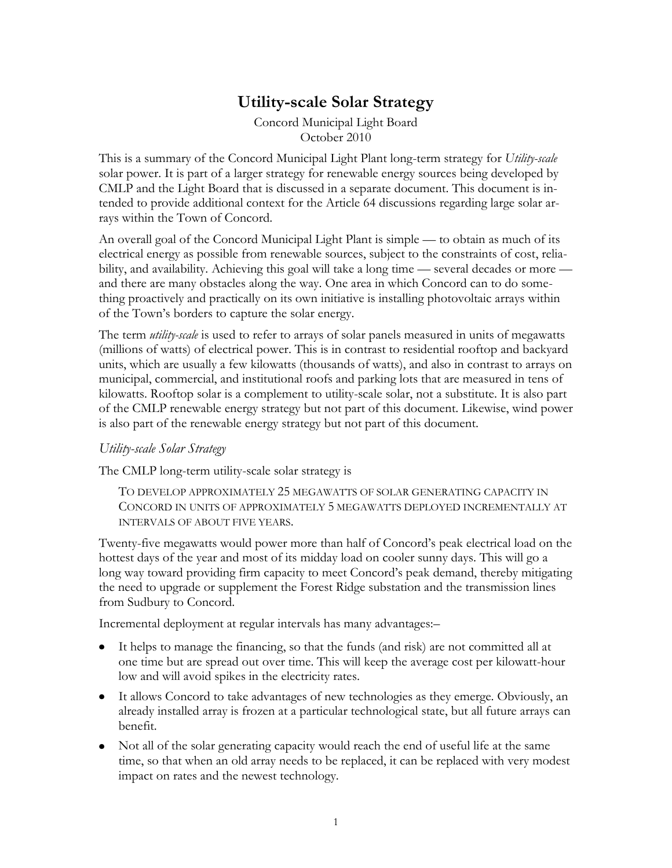## **Utility-scale Solar Strategy**

Concord Municipal Light Board October 2010

This is a summary of the Concord Municipal Light Plant long-term strategy for *Utility-scale*  solar power. It is part of a larger strategy for renewable energy sources being developed by CMLP and the Light Board that is discussed in a separate document. This document is intended to provide additional context for the Article 64 discussions regarding large solar arrays within the Town of Concord.

An overall goal of the Concord Municipal Light Plant is simple — to obtain as much of its electrical energy as possible from renewable sources, subject to the constraints of cost, reliability, and availability. Achieving this goal will take a long time — several decades or more and there are many obstacles along the way. One area in which Concord can to do something proactively and practically on its own initiative is installing photovoltaic arrays within of the Town's borders to capture the solar energy.

The term *utility-scale* is used to refer to arrays of solar panels measured in units of megawatts (millions of watts) of electrical power. This is in contrast to residential rooftop and backyard units, which are usually a few kilowatts (thousands of watts), and also in contrast to arrays on municipal, commercial, and institutional roofs and parking lots that are measured in tens of kilowatts. Rooftop solar is a complement to utility-scale solar, not a substitute. It is also part of the CMLP renewable energy strategy but not part of this document. Likewise, wind power is also part of the renewable energy strategy but not part of this document.

## *Utility-scale Solar Strategy*

The CMLP long-term utility-scale solar strategy is

TO DEVELOP APPROXIMATELY 25 MEGAWATTS OF SOLAR GENERATING CAPACITY IN CONCORD IN UNITS OF APPROXIMATELY 5 MEGAWATTS DEPLOYED INCREMENTALLY AT INTERVALS OF ABOUT FIVE YEARS.

Twenty-five megawatts would power more than half of Concord's peak electrical load on the hottest days of the year and most of its midday load on cooler sunny days. This will go a long way toward providing firm capacity to meet Concord's peak demand, thereby mitigating the need to upgrade or supplement the Forest Ridge substation and the transmission lines from Sudbury to Concord.

Incremental deployment at regular intervals has many advantages:–

- It helps to manage the financing, so that the funds (and risk) are not committed all at one time but are spread out over time. This will keep the average cost per kilowatt-hour low and will avoid spikes in the electricity rates.
- It allows Concord to take advantages of new technologies as they emerge. Obviously, an already installed array is frozen at a particular technological state, but all future arrays can benefit.
- Not all of the solar generating capacity would reach the end of useful life at the same time, so that when an old array needs to be replaced, it can be replaced with very modest impact on rates and the newest technology.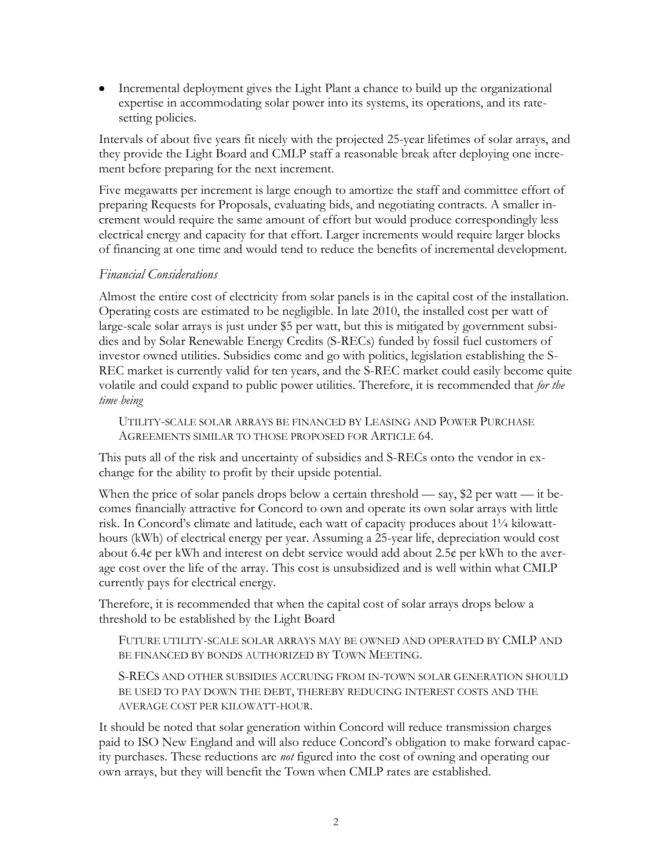Incremental deployment gives the Light Plant a chance to build up the organizational expertise in accommodating solar power into its systems, its operations, and its ratesetting policies.

Intervals of about five years fit nicely with the projected 25-year lifetimes of solar arrays, and they provide the Light Board and CMLP staff a reasonable break after deploying one increment before preparing for the next increment.

Five megawatts per increment is large enough to amortize the staff and committee effort of preparing Requests for Proposals, evaluating bids, and negotiating contracts. A smaller increment would require the same amount of effort but would produce correspondingly less electrical energy and capacity for that effort. Larger increments would require larger blocks of financing at one time and would tend to reduce the benefits of incremental development.

## *Financial Considerations*

Almost the entire cost of electricity from solar panels is in the capital cost of the installation. Operating costs are estimated to be negligible. In late 2010, the installed cost per watt of large-scale solar arrays is just under \$5 per watt, but this is mitigated by government subsidies and by Solar Renewable Energy Credits (S-RECs) funded by fossil fuel customers of investor owned utilities. Subsidies come and go with politics, legislation establishing the S-REC market is currently valid for ten years, and the S-REC market could easily become quite volatile and could expand to public power utilities. Therefore, it is recommended that *for the time being*

UTILITY-SCALE SOLAR ARRAYS BE FINANCED BY LEASING AND POWER PURCHASE AGREEMENTS SIMILAR TO THOSE PROPOSED FOR ARTICLE 64.

This puts all of the risk and uncertainty of subsidies and S-RECs onto the vendor in exchange for the ability to profit by their upside potential.

When the price of solar panels drops below a certain threshold — say, \$2 per watt — it becomes financially attractive for Concord to own and operate its own solar arrays with little risk. In Concord's climate and latitude, each watt of capacity produces about 1¼ kilowatthours (kWh) of electrical energy per year. Assuming a 25-year life, depreciation would cost about 6.4 $\phi$  per kWh and interest on debt service would add about 2.5 $\phi$  per kWh to the average cost over the life of the array. This cost is unsubsidized and is well within what CMLP currently pays for electrical energy.

Therefore, it is recommended that when the capital cost of solar arrays drops below a threshold to be established by the Light Board

FUTURE UTILITY-SCALE SOLAR ARRAYS MAY BE OWNED AND OPERATED BY CMLP AND BE FINANCED BY BONDS AUTHORIZED BY TOWN MEETING.

S-RECS AND OTHER SUBSIDIES ACCRUING FROM IN-TOWN SOLAR GENERATION SHOULD BE USED TO PAY DOWN THE DEBT, THEREBY REDUCING INTEREST COSTS AND THE AVERAGE COST PER KILOWATT-HOUR.

It should be noted that solar generation within Concord will reduce transmission charges paid to ISO New England and will also reduce Concord's obligation to make forward capacity purchases. These reductions are *not* figured into the cost of owning and operating our own arrays, but they will benefit the Town when CMLP rates are established.